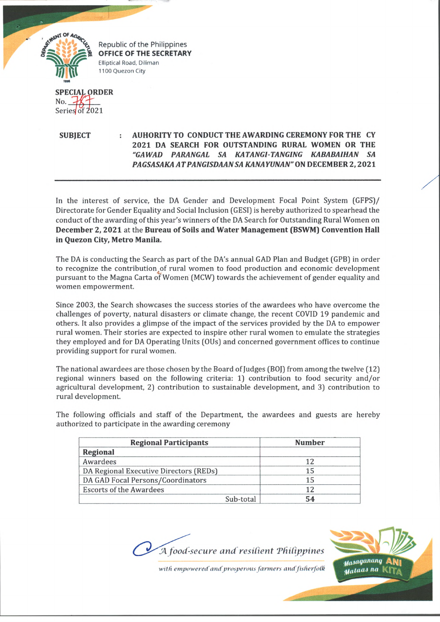

Republic of the Philippines **OFFICE OF THE SECRETARY** Elliptical Road, Diliman 1100 Quezon City

No. Series of 2021

**SUBJECT : AUHORITY TO CONDUCT THE AWARDING CEREMONY FOR THE CY 2021 DA SEARCH FOR OUTSTANDING RURAL WOMEN OR THE** *"GAWAD PARANGAL SA KATANGl-TANGING KABABAIHAN* **SA** *PAGSASAKAATPANGISDAANSA KAN A YUNAN"* **ON DECEMBER 2,2021**

In the interest of service, the DA Gender and Development Focal Point System (GFPS)/ Directorate for Gender Equality and Social Inclusion (GESI) is hereby authorized to spearhead the conduct of the awarding of this year's winners of the DA Search for Outstanding Rural Women on **December 2, 2021** at the **Bureau of Soils and Water Management (BSWM) Convention Hall in Quezon City, Metro Manila.**

The DA is conducting the Search as part of the DA's annual GAD Plan and Budget (GPB) in order to recognize the contribution,of rural women to food production and economic development pursuant to the Magna Carta of Women (MCW) towards the achievement of gender equality and women empowerment.

Since 2003, the Search showcases the success stories of the awardees who have overcome the challenges of poverty, natural disasters or climate change, the recent COVID 19 pandemic and others. It also provides a glimpse of the impact of the services provided by the DA to empower rural women. Their stories are expected to inspire other rural women to emulate the strategies they employed and for DA Operating Units (OUs) and concerned government offices to continue providing support for rural women.

The national awardees are those chosen by the Board of Judges (BOJ) from among the twelve [12) regional winners based on the following criteria; 1) contribution to food security and/or agricultural development, 2) contribution to sustainable development, and 3) contribution to rural development.

The following officials and staff of the Department, the awardees and guests are hereby authorized to participate in the awarding ceremony

| <b>Regional Participants</b>           | <b>Number</b>  |
|----------------------------------------|----------------|
| Regional                               |                |
| Awardees                               |                |
| DA Regional Executive Directors (REDs) |                |
| DA GAD Focal Persons/Coordinators      | $\overline{1}$ |
| <b>Escorts of the Awardees</b>         |                |
| Sub-total                              |                |

*JA. food-secure and resilient 'Philippines*



with empowered and prosperous farmers and fisherfolk